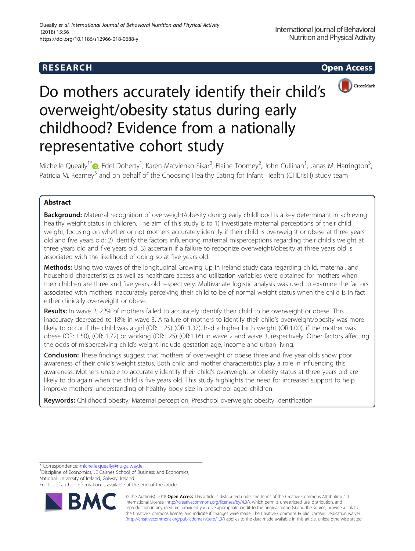# **RESEARCH CHEAR CHEAR CHEAR CHEAR CHEAR CHEAR CHEAR CHEAR CHEAR CHEAR CHEAR CHEAR CHEAR CHEAR CHEAR CHEAR CHEAR**



# Do mothers accurately identify their child's overweight/obesity status during early childhood? Evidence from a nationally representative cohort study

Michelle Queally<sup>1[\\*](http://orcid.org/0000-0002-1259-7874)</sup>©, Edel Doherty<sup>1</sup>, Karen Matvienko-Sikar<sup>3</sup>, Elaine Toomey<sup>2</sup>, John Cullinan<sup>1</sup>, Janas M. Harrington<sup>3</sup> , Patricia M. Kearney<sup>3</sup> and on behalf of the Choosing Healthy Eating for Infant Health (CHErIsH) study team

# Abstract

**Background:** Maternal recognition of overweight/obesity during early childhood is a key determinant in achieving healthy weight status in children. The aim of this study is to 1) investigate maternal perceptions of their child weight, focusing on whether or not mothers accurately identify if their child is overweight or obese at three years old and five years old; 2) identify the factors influencing maternal misperceptions regarding their child's weight at three years old and five years old, 3) ascertain if a failure to recognize overweight/obesity at three years old is associated with the likelihood of doing so at five years old.

Methods: Using two waves of the longitudinal Growing Up in Ireland study data regarding child, maternal, and household characteristics as well as healthcare access and utilization variables were obtained for mothers when their children are three and five years old respectively. Multivariate logistic analysis was used to examine the factors associated with mothers inaccurately perceiving their child to be of normal weight status when the child is in fact either clinically overweight or obese.

Results: In wave 2, 22% of mothers failed to accurately identify their child to be overweight or obese. This inaccuracy decreased to 18% in wave 3. A failure of mothers to identify their child's overweight/obesity was more likely to occur if the child was a girl (OR: 1.25) (OR: 1.37), had a higher birth weight (OR:1.00), if the mother was obese (OR: 1.50), (OR: 1.72) or working (OR:1.25) (OR:1.16) in wave 2 and wave 3, respectively. Other factors affecting the odds of misperceiving child's weight include gestation age, income and urban living.

**Conclusion:** These findings suggest that mothers of overweight or obese three and five year olds show poor awareness of their child's weight status. Both child and mother characteristics play a role in influencing this awareness. Mothers unable to accurately identify their child's overweight or obesity status at three years old are likely to do again when the child is five years old. This study highlights the need for increased support to help improve mothers' understanding of healthy body size in preschool aged children.

Keywords: Childhood obesity, Maternal perception, Preschool overweight obesity identification

\* Correspondence: [michelle.queally@nuigalway.ie](mailto:michelle.queally@nuigalway.ie) <sup>1</sup>

<sup>1</sup> Discipline of Economics, JE Cairnes School of Business and Economics, National University of Ireland, Galway, Ireland

Full list of author information is available at the end of the article



© The Author(s). 2018 Open Access This article is distributed under the terms of the Creative Commons Attribution 4.0 International License [\(http://creativecommons.org/licenses/by/4.0/](http://creativecommons.org/licenses/by/4.0/)), which permits unrestricted use, distribution, and reproduction in any medium, provided you give appropriate credit to the original author(s) and the source, provide a link to the Creative Commons license, and indicate if changes were made. The Creative Commons Public Domain Dedication waiver [\(http://creativecommons.org/publicdomain/zero/1.0/](http://creativecommons.org/publicdomain/zero/1.0/)) applies to the data made available in this article, unless otherwise stated.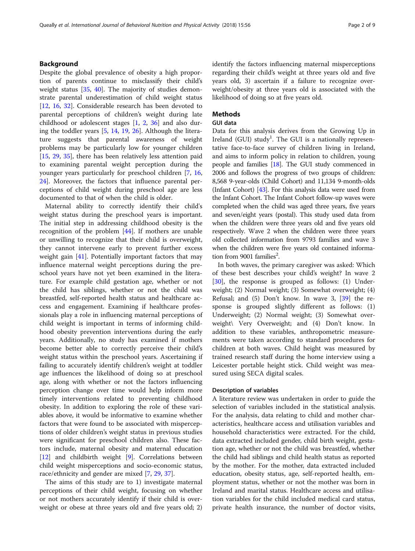# Background

Despite the global prevalence of obesity a high proportion of parents continue to misclassify their child's weight status [\[35](#page-8-0), [40](#page-8-0)]. The majority of studies demonstrate parental underestimation of child weight status [[12,](#page-7-0) [16](#page-7-0), [32](#page-8-0)]. Considerable research has been devoted to parental perceptions of children's weight during late childhood or adolescent stages [[1,](#page-7-0) [2,](#page-7-0) [36](#page-8-0)] and also during the toddler years [[5,](#page-7-0) [14,](#page-7-0) [19](#page-7-0), [26\]](#page-8-0). Although the literature suggests that parental awareness of weight problems may be particularly low for younger children [[15,](#page-7-0) [29](#page-8-0), [35\]](#page-8-0), there has been relatively less attention paid to examining parental weight perception during the younger years particularly for preschool children [[7,](#page-7-0) [16](#page-7-0), [24\]](#page-8-0). Moreover, the factors that influence parental perceptions of child weight during preschool age are less documented to that of when the child is older.

Maternal ability to correctly identify their child's weight status during the preschool years is important. The initial step in addressing childhood obesity is the recognition of the problem [[44\]](#page-8-0). If mothers are unable or unwilling to recognize that their child is overweight, they cannot intervene early to prevent further excess weight gain  $[41]$  $[41]$  $[41]$ . Potentially important factors that may influence maternal weight perceptions during the preschool years have not yet been examined in the literature. For example child gestation age, whether or not the child has siblings, whether or not the child was breastfed, self-reported health status and healthcare access and engagement. Examining if healthcare professionals play a role in influencing maternal perceptions of child weight is important in terms of informing childhood obesity prevention interventions during the early years. Additionally, no study has examined if mothers become better able to correctly perceive their child's weight status within the preschool years. Ascertaining if failing to accurately identify children's weight at toddler age influences the likelihood of doing so at preschool age, along with whether or not the factors influencing perception change over time would help inform more timely interventions related to preventing childhood obesity. In addition to exploring the role of these variables above, it would be informative to examine whether factors that were found to be associated with misperceptions of older children's weight status in previous studies were significant for preschool children also. These factors include, maternal obesity and maternal education [[12\]](#page-7-0) and childbirth weight [\[9](#page-7-0)]. Correlations between child weight misperceptions and socio-economic status, race/ethnicity and gender are mixed [[7,](#page-7-0) [29,](#page-8-0) [37\]](#page-8-0).

The aims of this study are to 1) investigate maternal perceptions of their child weight, focusing on whether or not mothers accurately identify if their child is overweight or obese at three years old and five years old; 2) identify the factors influencing maternal misperceptions regarding their child's weight at three years old and five years old, 3) ascertain if a failure to recognize overweight/obesity at three years old is associated with the likelihood of doing so at five years old.

# **Methods**

# GUI data

Data for this analysis derives from the Growing Up in Ireland (GUI) study<sup>1</sup>. The GUI is a nationally representative face-to-face survey of children living in Ireland, and aims to inform policy in relation to children, young people and families [[18](#page-7-0)]. The GUI study commenced in 2006 and follows the progress of two groups of children: 8,568 9-year-olds (Child Cohort) and 11,134 9-month-olds (Infant Cohort) [[43](#page-8-0)]. For this analysis data were used from the Infant Cohort. The Infant Cohort follow-up waves were completed when the child was aged three years, five years and seven/eight years (postal). This study used data from when the children were three years old and five years old respectively. Wave 2 when the children were three years old collected information from 9793 families and wave 3 when the children were five years old contained information from 9001 families<sup>2</sup>.

In both waves, the primary caregiver was asked: Which of these best describes your child's weight? In wave 2 [[30\]](#page-8-0), the response is grouped as follows: (1) Underweight; (2) Normal weight; (3) Somewhat overweight; (4) Refusal; and (5) Don't know. In wave 3, [[39](#page-8-0)] the response is grouped slightly different as follows: (1) Underweight; (2) Normal weight; (3) Somewhat overweight\ Very Overweight; and (4) Don't know. In addition to these variables, anthropometric measurements were taken according to standard procedures for children at both waves. Child height was measured by trained research staff during the home interview using a Leicester portable height stick. Child weight was measured using SECA digital scales.

#### Description of variables

A literature review was undertaken in order to guide the selection of variables included in the statistical analysis. For the analysis, data relating to child and mother characteristics, healthcare access and utilisation variables and household characteristics were extracted. For the child, data extracted included gender, child birth weight, gestation age, whether or not the child was breastfed, whether the child had siblings and child health status as reported by the mother. For the mother, data extracted included education, obesity status, age, self-reported health, employment status, whether or not the mother was born in Ireland and marital status. Healthcare access and utilisation variables for the child included medical card status, private health insurance, the number of doctor visits,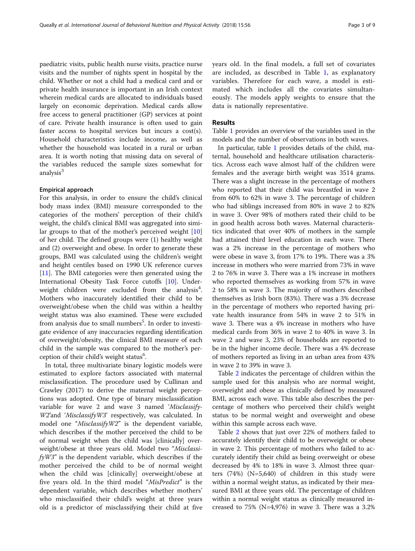paediatric visits, public health nurse visits, practice nurse visits and the number of nights spent in hospital by the child. Whether or not a child had a medical card and or private health insurance is important in an Irish context wherein medical cards are allocated to individuals based largely on economic deprivation. Medical cards allow free access to general practitioner (GP) services at point of care. Private health insurance is often used to gain faster access to hospital services but incurs a cost(s). Household characteristics include income, as well as whether the household was located in a rural or urban area. It is worth noting that missing data on several of the variables reduced the sample sizes somewhat for analysis<sup>3</sup>

# Empirical approach

For this analysis, in order to ensure the child's clinical body mass index (BMI) measure corresponded to the categories of the mothers' perception of their child's weight, the child's clinical BMI was aggregated into similar groups to that of the mother's perceived weight [[10](#page-7-0)] of her child. The defined groups were (1) healthy weight and (2) overweight and obese. In order to generate these groups, BMI was calculated using the children's weight and height centiles based on 1990 UK reference curves [[11\]](#page-7-0). The BMI categories were then generated using the International Obesity Task Force cutoffs [[10](#page-7-0)]. Underweight children were excluded from the analysis<sup>4</sup>. Mothers who inaccurately identified their child to be overweight/obese when the child was within a healthy weight status was also examined. These were excluded from analysis due to small numbers<sup>5</sup>. In order to investigate evidence of any inaccuracies regarding identification of overweight/obesity, the clinical BMI measure of each child in the sample was compared to the mother's perception of their child's weight status<sup>6</sup>.

In total, three multivariate binary logistic models were estimated to explore factors associated with maternal misclassification. The procedure used by Cullinan and Crawley (2017) to derive the maternal weight perceptions was adopted. One type of binary misclassification variable for wave 2 and wave 3 named 'Misclassify-W2'and 'MisclassifyW3' respectively, was calculated. In model one "*MisclassifyW2*" is the dependent variable, which describes if the mother perceived the child to be of normal weight when the child was [clinically] overweight/obese at three years old. Model two "Misclassi $f<sub>y</sub>W3"$  is the dependent variable, which describes if the mother perceived the child to be of normal weight when the child was [clinically] overweight/obese at five years old. In the third model "MisPredict" is the dependent variable, which describes whether mothers' who misclassified their child's weight at three years old is a predictor of misclassifying their child at five years old. In the final models, a full set of covariates are included, as described in Table [1](#page-3-0), as explanatory variables. Therefore for each wave, a model is estimated which includes all the covariates simultaneously. The models apply weights to ensure that the data is nationally representative.

# Results

Table [1](#page-3-0) provides an overview of the variables used in the models and the number of observations in both waves.

In particular, table [1](#page-3-0) provides details of the child, maternal, household and healthcare utilisation characteristics. Across each wave almost half of the children were females and the average birth weight was 3514 grams. There was a slight increase in the percentage of mothers who reported that their child was breastfed in wave 2 from 60% to 62% in wave 3. The percentage of children who had siblings increased from 80% in wave 2 to 82% in wave 3. Over 98% of mothers rated their child to be in good health across both waves. Maternal characteristics indicated that over 40% of mothers in the sample had attained third level education in each wave. There was a 2% increase in the percentage of mothers who were obese in wave 3, from 17% to 19%. There was a 3% increase in mothers who were married from 73% in wave 2 to 76% in wave 3. There was a 1% increase in mothers who reported themselves as working from 57% in wave 2 to 58% in wave 3. The majority of mothers described themselves as Irish born (83%). There was a 3% decrease in the percentage of mothers who reported having private health insurance from 54% in wave 2 to 51% in wave 3. There was a 4% increase in mothers who have medical cards from 36% in wave 2 to 40% in wave 3. In wave 2 and wave 3, 23% of households are reported to be in the higher income decile. There was a 4% decrease of mothers reported as living in an urban area from 43% in wave 2 to 39% in wave 3.

Table [2](#page-4-0) indicates the percentage of children within the sample used for this analysis who are normal weight, overweight and obese as clinically defined by measured BMI, across each wave. This table also describes the percentage of mothers who perceived their child's weight status to be normal weight and overweight and obese within this sample across each wave.

Table [2](#page-4-0) shows that just over 22% of mothers failed to accurately identify their child to be overweight or obese in wave 2. This percentage of mothers who failed to accurately identify their child as being overweight or obese decreased by 4% to 18% in wave 3. Almost three quarters (74%) (N=5,640) of children in this study were within a normal weight status, as indicated by their measured BMI at three years old. The percentage of children within a normal weight status as clinically measured increased to  $75\%$  (N=4,976) in wave 3. There was a 3.2%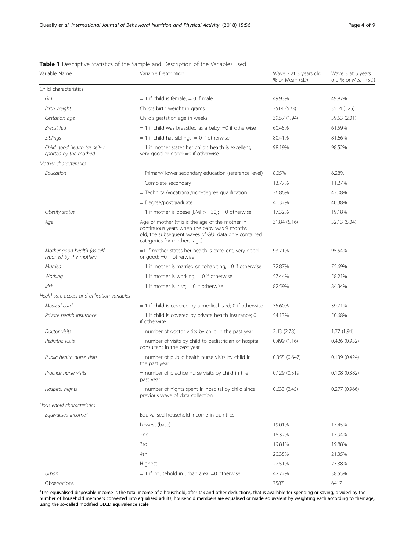| Variable Name                                           | Variable Description                                                                                                                                                                                   | Wave 2 at 3 years old<br>% or Mean (SD) | Wave 3 at 5 years<br>old % or Mean (SD) |
|---------------------------------------------------------|--------------------------------------------------------------------------------------------------------------------------------------------------------------------------------------------------------|-----------------------------------------|-----------------------------------------|
| Child characteristics                                   |                                                                                                                                                                                                        |                                         |                                         |
| Girl                                                    | $= 1$ if child is female; $= 0$ if male                                                                                                                                                                | 49.93%                                  | 49.87%                                  |
| Birth weight                                            | Child's birth weight in grams                                                                                                                                                                          | 3514 (523)                              | 3514 (525)                              |
| Gestation age                                           | Child's gestation age in weeks                                                                                                                                                                         | 39.57 (1.94)                            | 39.53 (2.01)                            |
| Breast fed                                              | $= 1$ if child was breastfed as a baby; $= 0$ if otherwise                                                                                                                                             | 60.45%                                  | 61.59%                                  |
| Siblings                                                | $= 1$ if child has siblings; $= 0$ if otherwise                                                                                                                                                        | 80.41%                                  | 81.66%                                  |
| Child good health (as self- r<br>eported by the mother) | = 1 if mother states her child's health is excellent,<br>very good or good; =0 if otherwise                                                                                                            | 98.19%                                  | 98.52%                                  |
| Mother characteristics                                  |                                                                                                                                                                                                        |                                         |                                         |
| Education                                               | = Primary/ lower secondary education (reference level)                                                                                                                                                 | 8.05%                                   | 6.28%                                   |
|                                                         | = Complete secondary                                                                                                                                                                                   | 13.77%                                  | 11.27%                                  |
|                                                         | = Technical/vocational/non-degree qualification                                                                                                                                                        | 36.86%                                  | 42.08%                                  |
|                                                         | = Degree/postgraduate                                                                                                                                                                                  | 41.32%                                  | 40.38%                                  |
| Obesity status                                          | $= 1$ if mother is obese (BMI $>= 30$ ); $= 0$ otherwise                                                                                                                                               | 17.32%                                  | 19.18%                                  |
| Age                                                     | Age of mother (this is the age of the mother in<br>31.84 (5.16)<br>continuous years when the baby was 9 months<br>old; the subsequent waves of GUI data only contained<br>categories for mothers' age) |                                         | 32.13 (5.04)                            |
| Mother good health (as self-<br>reported by the mother) | =1 if mother states her health is excellent, very good<br>or good; $=0$ if otherwise                                                                                                                   | 93.71%                                  | 95.54%                                  |
| Married                                                 | $=$ 1 if mother is married or cohabiting; $=$ 0 if otherwise                                                                                                                                           | 72.87%                                  | 75.69%                                  |
| Working                                                 | $= 1$ if mother is working; $= 0$ if otherwise                                                                                                                                                         | 57.44%                                  | 58.21%                                  |
| Irish                                                   | $= 1$ if mother is Irish; $= 0$ if otherwise                                                                                                                                                           | 82.59%                                  | 84.34%                                  |
| Healthcare access and utilisation variables             |                                                                                                                                                                                                        |                                         |                                         |
| Medical card                                            | $= 1$ if child is covered by a medical card; 0 if otherwise                                                                                                                                            | 35.60%                                  | 39.71%                                  |
| Private health insurance                                | = 1 if child is covered by private health insurance; 0<br>if otherwise                                                                                                                                 | 54.13%                                  | 50.68%                                  |
| Doctor visits                                           | = number of doctor visits by child in the past year                                                                                                                                                    | 2.43(2.78)                              | 1.77(1.94)                              |
| Pediatric visits                                        | = number of visits by child to pediatrician or hospital<br>consultant in the past year                                                                                                                 | 0.499(1.16)                             | 0.426(0.952)                            |
| Public health nurse visits                              | = number of public health nurse visits by child in<br>the past year                                                                                                                                    | 0.355(0.647)                            | 0.139(0.424)                            |
| Practice nurse visits                                   | = number of practice nurse visits by child in the<br>past year                                                                                                                                         | 0.129(0.519)                            | 0.108(0.382)                            |
| Hospital nights                                         | = number of nights spent in hospital by child since<br>previous wave of data collection                                                                                                                | 0.633(2.45)                             | 0.277(0.966)                            |
| Hous ehold characteristics                              |                                                                                                                                                                                                        |                                         |                                         |
| Equivalised income <sup>a</sup>                         | Equivalised household income in quintiles                                                                                                                                                              |                                         |                                         |
|                                                         | Lowest (base)                                                                                                                                                                                          | 19.01%                                  | 17.45%                                  |
|                                                         | 2nd                                                                                                                                                                                                    | 18.32%                                  | 17.94%                                  |
|                                                         | 3rd                                                                                                                                                                                                    | 19.81%                                  | 19.88%                                  |
|                                                         | 4th                                                                                                                                                                                                    | 20.35%                                  | 21.35%                                  |
|                                                         | Highest                                                                                                                                                                                                | 22.51%                                  | 23.38%                                  |
| Urban                                                   | $= 1$ if household in urban area; $= 0$ otherwise                                                                                                                                                      | 42.72%                                  | 38.55%                                  |
| Observations                                            |                                                                                                                                                                                                        | 7587                                    | 6417                                    |

# <span id="page-3-0"></span>Table 1 Descriptive Statistics of the Sample and Description of the Variables used

<sup>a</sup>The equivalised disposable income is the total income of a household, after tax and other deductions, that is available for spending or saving, divided by the number of household members converted into equalised adults; household members are equalised or made equivalent by weighting each according to their age, using the so-called modified OECD equivalence scale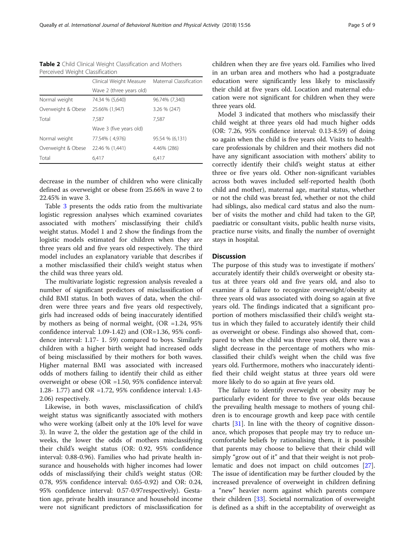<span id="page-4-0"></span>Table 2 Child Clinical Weight Classification and Mothers Perceived Weight Classification

|                    | Clinical Weight Measure  | Maternal Classification |
|--------------------|--------------------------|-------------------------|
|                    | Wave 2 (three years old) |                         |
| Normal weight      | 74.34 % (5,640)          | 96.74% (7,340)          |
| Overweight & Obese | 25.66% (1,947)           | 3.26 % (247)            |
| Total              | 7,587                    | 7.587                   |
|                    | Wave 3 (five years old)  |                         |
| Normal weight      | 77.54% (4.976)           | 95.54 % (6,131)         |
| Overweight & Obese | 22.46 % (1,441)          | 4.46% (286)             |
| Total              | 6,417                    | 6,417                   |
|                    |                          |                         |

decrease in the number of children who were clinically defined as overweight or obese from 25.66% in wave 2 to 22.45% in wave 3.

Table [3](#page-5-0) presents the odds ratio from the multivariate logistic regression analyses which examined covariates associated with mothers' misclassifying their child's weight status. Model 1 and 2 show the findings from the logistic models estimated for children when they are three years old and five years old respectively. The third model includes an explanatory variable that describes if a mother misclassified their child's weight status when the child was three years old.

The multivariate logistic regression analysis revealed a number of significant predictors of misclassification of child BMI status. In both waves of data, when the children were three years and five years old respectively, girls had increased odds of being inaccurately identified by mothers as being of normal weight, (OR =1.24, 95% confidence interval: 1.09-1.42) and (OR=1.36, 95% confidence interval: 1.17- 1. 59) compared to boys. Similarly children with a higher birth weight had increased odds of being misclassified by their mothers for both waves. Higher maternal BMI was associated with increased odds of mothers failing to identify their child as either overweight or obese (OR =1.50, 95% confidence interval: 1.28- 1.77) and OR =1.72, 95% confidence interval: 1.43- 2.06) respectively.

Likewise, in both waves, misclassification of child's weight status was significantly associated with mothers who were working (albeit only at the 10% level for wave 3). In wave 2, the older the gestation age of the child in weeks, the lower the odds of mothers misclassifying their child's weight status (OR: 0.92, 95% confidence interval: 0.88-0.96). Families who had private health insurance and households with higher incomes had lower odds of misclassifying their child's weight status (OR: 0.78, 95% confidence interval: 0.65-0.92) and OR: 0.24, 95% confidence interval: 0.57-0.97respectively). Gestation age, private health insurance and household income were not significant predictors of misclassification for children when they are five years old. Families who lived in an urban area and mothers who had a postgraduate education were significantly less likely to misclassify their child at five years old. Location and maternal education were not significant for children when they were three years old.

Model 3 indicated that mothers who misclassify their child weight at three years old had much higher odds (OR: 7.26, 95% confidence interval: 0.13-8.59) of doing so again when the child is five years old. Visits to healthcare professionals by children and their mothers did not have any significant association with mothers' ability to correctly identify their child's weight status at either three or five years old. Other non-significant variables across both waves included self-reported health (both child and mother), maternal age, marital status, whether or not the child was breast fed, whether or not the child had siblings, also medical card status and also the number of visits the mother and child had taken to the GP, paediatric or consultant visits, public health nurse visits, practice nurse visits, and finally the number of overnight stays in hospital.

# **Discussion**

The purpose of this study was to investigate if mothers' accurately identify their child's overweight or obesity status at three years old and five years old, and also to examine if a failure to recognize overweight/obesity at three years old was associated with doing so again at five years old. The findings indicated that a significant proportion of mothers misclassified their child's weight status in which they failed to accurately identify their child as overweight or obese. Findings also showed that, compared to when the child was three years old, there was a slight decrease in the percentage of mothers who misclassified their child's weight when the child was five years old. Furthermore, mothers who inaccurately identified their child weight status at three years old were more likely to do so again at five years old.

The failure to identify overweight or obesity may be particularly evident for three to five year olds because the prevailing health message to mothers of young children is to encourage growth and keep pace with centile charts [[31\]](#page-8-0). In line with the theory of cognitive dissonance, which proposes that people may try to reduce uncomfortable beliefs by rationalising them, it is possible that parents may choose to believe that their child will simply "grow out of it" and that their weight is not problematic and does not impact on child outcomes [\[27](#page-8-0)]. The issue of identification may be further clouded by the increased prevalence of overweight in children defining a "new" heavier norm against which parents compare their children [[33\]](#page-8-0). Societal normalization of overweight is defined as a shift in the acceptability of overweight as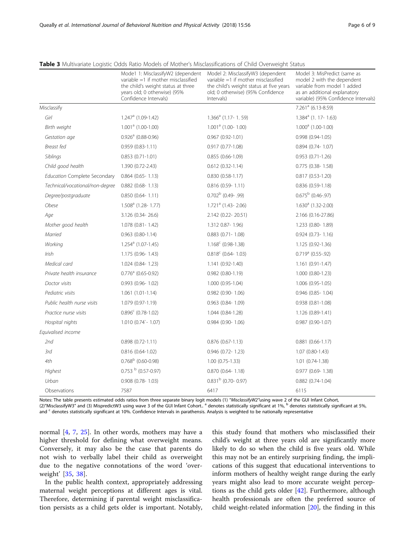|                                     | Mode1 1: MisclassifyW2 (dependent<br>variable $=1$ if mother misclassified<br>the child's weight status at three<br>years old; 0 otherwise) (95%<br>Confidence Intervals) | Model 2: MisclassifyW3 (dependent<br>variable $=1$ if mother misclassified<br>the child's weight status at five years<br>old; 0 otherwise) (95% Confidence<br>Intervals) | Model 3: MisPredict (same as<br>model 2 with the dependent<br>variable from model 1 added<br>as an additional explanatory<br>variable) (95% Confidence Intervals) |
|-------------------------------------|---------------------------------------------------------------------------------------------------------------------------------------------------------------------------|--------------------------------------------------------------------------------------------------------------------------------------------------------------------------|-------------------------------------------------------------------------------------------------------------------------------------------------------------------|
| Misclassify                         |                                                                                                                                                                           |                                                                                                                                                                          | $7.261a$ (6.13-8.59)                                                                                                                                              |
| Girl                                | $1.247a$ (1.09-1.42)                                                                                                                                                      | $1.366a$ (1.17-1.59)                                                                                                                                                     | 1.384 <sup>a</sup> (1. 17- 1.63)                                                                                                                                  |
| Birth weight                        | $1.001a$ (1.00-1.00)                                                                                                                                                      | $1.001a$ (1.00-1.00)                                                                                                                                                     | $1.000a$ (1.00-1.00)                                                                                                                                              |
| Gestation age                       | $0.926a$ (0.88-0.96)                                                                                                                                                      | $0.967(0.92 - 1.01)$                                                                                                                                                     | $0.998(0.94-1.05)$                                                                                                                                                |
| Breast fed                          | $0.959(0.83 - 1.11)$                                                                                                                                                      | $0.917(0.77-1.08)$                                                                                                                                                       | $0.894$ (0.74-1.07)                                                                                                                                               |
| Siblings                            | $0.853(0.71-1.01)$                                                                                                                                                        | $0.855(0.66-1.09)$                                                                                                                                                       | $0.953(0.71-1.26)$                                                                                                                                                |
| Child good health                   | 1.390 (0.72-2.43)                                                                                                                                                         | $0.612(0.32 - 1.14)$                                                                                                                                                     | $0.775$ (0.38-1.58)                                                                                                                                               |
| <b>Education Complete Secondary</b> | $0.864$ (0.65-1.13)                                                                                                                                                       | $0.830(0.58-1.17)$                                                                                                                                                       | 0.817 (0.53-1.20)                                                                                                                                                 |
| Technical/vocational/non-degree     | $0.882$ (0.68-1.13)                                                                                                                                                       | $0.816$ (0.59-1.11)                                                                                                                                                      | 0.836 (0.59-1.18)                                                                                                                                                 |
| Degree/postgraduate                 | 0.850 (0.64-1.11)                                                                                                                                                         | $0.702^b$ (0.49-.99)                                                                                                                                                     | $0.675^{\rm b}$ (0.46-.97)                                                                                                                                        |
| Obese                               | $1.508a$ (1.28-1.77)                                                                                                                                                      | 1.721 <sup>a</sup> (1.43-2.06)                                                                                                                                           | $1.630a$ (1.32-2.00)                                                                                                                                              |
| Age                                 | 3.126 (0.34-26.6)                                                                                                                                                         | 2.142 (0.22-20.51)                                                                                                                                                       | 2.166 (0.16-27.86)                                                                                                                                                |
| Mother good health                  | 1.078 (0.81 - 1.42)                                                                                                                                                       | 1.312 0.87-1.96)                                                                                                                                                         | 1.233 (0.80-1.89)                                                                                                                                                 |
| Married                             | $0.963$ $(0.80-1.14)$                                                                                                                                                     | $0.883$ $(0.71 - 1.08)$                                                                                                                                                  | $0.924(0.73 - 1.16)$                                                                                                                                              |
| Working                             | $1.254a$ (1.07-1.45)                                                                                                                                                      | $1.168^c$ (0.98-1.38)                                                                                                                                                    | 1.125 (0.92-1.36)                                                                                                                                                 |
| Irish                               | 1.175 (0.96-1.43)                                                                                                                                                         | $0.818^c$ (0.64-1.03)                                                                                                                                                    | $0.719a$ (0.55-.92)                                                                                                                                               |
| Medical card                        | 1.024 (0.84-1.23)                                                                                                                                                         | 1.141 (0.92-1.40)                                                                                                                                                        | 1.161 (0.91-1.47)                                                                                                                                                 |
| Private health insurance            | $0.776a$ (0.65-0.92)                                                                                                                                                      | $0.982$ $(0.80 - 1.19)$                                                                                                                                                  | 1.000 (0.80-1.23)                                                                                                                                                 |
| Doctor visits                       | 0.993 (0.96-1.02)                                                                                                                                                         | 1.000 (0.95-1.04)                                                                                                                                                        | 1.006 (0.95-1.05)                                                                                                                                                 |
| Pediatric visits                    | $1.061(1.01-1.14)$                                                                                                                                                        | $0.982$ (0.90-1.06)                                                                                                                                                      | $0.946$ (0.85-1.04)                                                                                                                                               |
| Public health nurse visits          | 1.079 (0.97-1.19)                                                                                                                                                         | $0.963$ $(0.84 - 1.09)$                                                                                                                                                  | $0.938(0.81-1.08)$                                                                                                                                                |
| Practice nurse visits               | $0.896^{\circ}$ (0.78-1.02)                                                                                                                                               | 1.044 (0.84-1.28)                                                                                                                                                        | 1.126 (0.89-1.41)                                                                                                                                                 |
| Hospital nights                     | $1.010$ (0.74 - 1.07)                                                                                                                                                     | $0.984$ (0.90-1.06)                                                                                                                                                      | $0.987(0.90-1.07)$                                                                                                                                                |
| Equivalised income                  |                                                                                                                                                                           |                                                                                                                                                                          |                                                                                                                                                                   |
| 2nd                                 | $0.898(0.72 - 1.11)$                                                                                                                                                      | $0.876$ $(0.67 - 1.13)$                                                                                                                                                  | $0.881$ $(0.66 - 1.17)$                                                                                                                                           |
| 3rd                                 | $0.816(0.64-1.02)$                                                                                                                                                        | $0.946$ (0.72-1.23)                                                                                                                                                      | $1.07(0.80-1.43)$                                                                                                                                                 |
| 4th                                 | $0.768^{\rm b}$ (0.60-0.98)                                                                                                                                               | $1.00(0.75-1.33)$                                                                                                                                                        | $1.01(0.74-1.38)$                                                                                                                                                 |
| Highest                             | $0.753b$ (0.57-0.97)                                                                                                                                                      | $0.870$ $(0.64 - 1.18)$                                                                                                                                                  | $0.977$ $(0.69 - 1.38)$                                                                                                                                           |
| Urban                               | 0.908 (0.78-1.03)                                                                                                                                                         | $0.831b$ (0.70- 0.97)                                                                                                                                                    | $0.882$ $(0.74 - 1.04)$                                                                                                                                           |
| Observations                        | 7587                                                                                                                                                                      | 6417                                                                                                                                                                     | 6115                                                                                                                                                              |

<span id="page-5-0"></span>Table 3 Multivariate Logistic Odds Ratio Models of Mother's Misclassifications of Child Overweight Status

Notes: The table presents estimated odds ratios from three separate binary logit models (1) "MisclassifyW2"using wave 2 of the GUI Infant Cohort, (2)"MisclassifyW3" and (3) MispredictW3 using wave 3 of the GUI Infant Cohort..<sup>a</sup> denotes statistically significant at 1%, <sup>b</sup> denotes statistically significant at 5%, and <sup>c</sup> denotes statistically significant at 10%. Confidence Intervals in parathensis. Analysis is weighted to be nationally representative

normal [\[4](#page-7-0), [7](#page-7-0), [25\]](#page-8-0). In other words, mothers may have a higher threshold for defining what overweight means. Conversely, it may also be the case that parents do not wish to verbally label their child as overweight due to the negative connotations of the word 'overweight' [\[35](#page-8-0), [38\]](#page-8-0).

In the public health context, appropriately addressing maternal weight perceptions at different ages is vital. Therefore, determining if parental weight misclassification persists as a child gets older is important. Notably,

this study found that mothers who misclassified their child's weight at three years old are significantly more likely to do so when the child is five years old. While this may not be an entirely surprising finding, the implications of this suggest that educational interventions to inform mothers of healthy weight range during the early years might also lead to more accurate weight perceptions as the child gets older [[42](#page-8-0)]. Furthermore, although health professionals are often the preferred source of child weight-related information [\[20\]](#page-8-0), the finding in this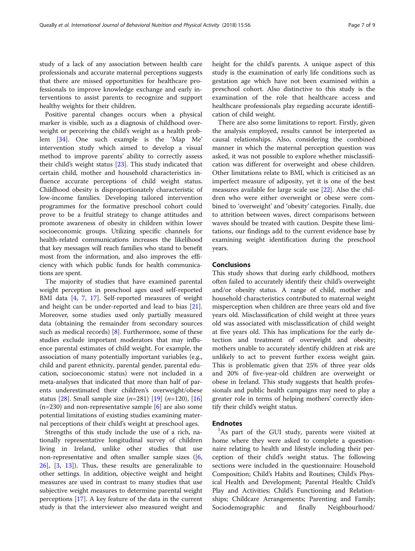study of a lack of any association between health care professionals and accurate maternal perceptions suggests that there are missed opportunities for healthcare professionals to improve knowledge exchange and early interventions to assist parents to recognize and support healthy weights for their children.

Positive parental changes occurs when a physical marker is visible, such as a diagnosis of childhood overweight or perceiving the child's weight as a health problem [\[34](#page-8-0)]. One such example is the 'Map Me' intervention study which aimed to develop a visual method to improve parents' ability to correctly assess their child's weight status [\[23](#page-8-0)]. This study indicated that certain child, mother and household characteristics influence accurate perceptions of child weight status. Childhood obesity is disproportionately characteristic of low-income families. Developing tailored intervention programmes for the formative preschool cohort could prove to be a fruitful strategy to change attitudes and promote awareness of obesity in children within lower socioeconomic groups. Utilizing specific channels for health-related communications increases the likelihood that key messages will reach families who stand to benefit most from the information, and also improves the efficiency with which public funds for health communications are spent.

The majority of studies that have examined parental weight perception in preschool ages used self-reported BMI data [\[4](#page-7-0), [7](#page-7-0), [17](#page-7-0)]. Self-reported measures of weight and height can be under-reported and lead to bias [\[21](#page-8-0)]. Moreover, some studies used only partially measured data (obtaining the remainder from secondary sources such as medical records)  $[8]$  $[8]$ . Furthermore, some of these studies exclude important moderators that may influence parental estimates of child weight. For example, the association of many potentially important variables (e.g., child and parent ethnicity, parental gender, parental education, socioeconomic status) were not included in a meta-analyses that indicated that more than half of parents underestimated their children's overweight/obese status [[28\]](#page-8-0). Small sample size  $(n=281)$  [\[19](#page-7-0)]  $(n=120)$ , [[16](#page-7-0)]  $(n=230)$  and non-representative sample  $[6]$  are also some potential limitations of existing studies examining maternal perceptions of their child's weight at preschool ages.

Strengths of this study include the use of a rich, nationally representative longitudinal survey of children living in Ireland, unlike other studies that use non-representative and often smaller sample sizes ([\[6](#page-7-0), [26\]](#page-8-0), [[3,](#page-7-0) [13](#page-7-0)]). Thus, these results are generalizable to other settings. In addition, objective weight and height measures are used in contrast to many studies that use subjective weight measures to determine parental weight perceptions [\[17](#page-7-0)]. A key feature of the data in the current study is that the interviewer also measured weight and height for the child's parents. A unique aspect of this study is the examination of early life conditions such as gestation age which have not been examined within a preschool cohort. Also distinctive to this study is the examination of the role that healthcare access and healthcare professionals play regarding accurate identification of child weight.

There are also some limitations to report. Firstly, given the analysis employed, results cannot be interpreted as causal relationships. Also, considering the combined manner in which the maternal perception question was asked, it was not possible to explore whether misclassification was different for overweight and obese children. Other limitations relate to BMI, which is criticised as an imperfect measure of adiposity, yet it is one of the best measures available for large scale use [\[22\]](#page-8-0). Also the children who were either overweight or obese were combined to 'overweight' and 'obesity' categories. Finally, due to attrition between waves, direct comparisons between waves should be treated with caution. Despite these limitations, our findings add to the current evidence base by examining weight identification during the preschool years.

# Conclusions

This study shows that during early childhood, mothers often failed to accurately identify their child's overweight and/or obesity status. A range of child, mother and household characteristics contributed to maternal weight misperception when children are three years old and five years old. Misclassification of child weight at three years old was associated with misclassification of child weight at five years old. This has implications for the early detection and treatment of overweight and obesity; mothers unable to accurately identify children at risk are unlikely to act to prevent further excess weight gain. This is problematic given that 25% of three year olds and 20% of five-year-old children are overweight or obese in Ireland. This study suggests that health professionals and public health campaigns may need to play a greater role in terms of helping mothers' correctly identify their child's weight status.

# **Endnotes**

<sup>1</sup>As part of the GUI study, parents were visited at home where they were asked to complete a questionnaire relating to health and lifestyle including their perception of their child's weight status. The following sections were included in the questionnaire: Household Composition; Child's Habits and Routines; Child's Physical Health and Development; Parental Health; Child's Play and Activities; Child's Functioning and Relationships; Childcare Arrangements; Parenting and Family; Sociodemographic and finally Neighbourhood/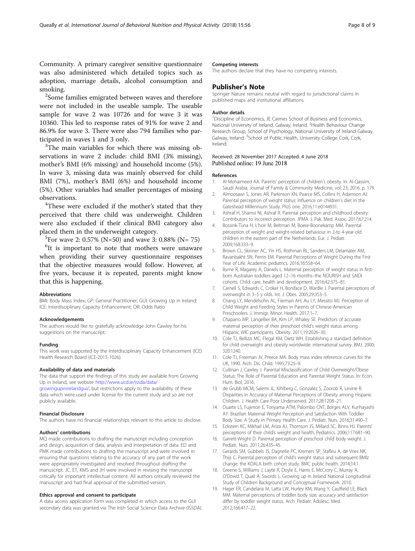<span id="page-7-0"></span>Community. A primary caregiver sensitive questionnaire was also administered which detailed topics such as adoption, marriage details, alcohol consumption and smoking.

<sup>2</sup>Some families emigrated between waves and therefore were not included in the useable sample. The useable sample for wave 2 was 10726 and for wave 3 it was 10360. This led to response rates of 91% for wave 2 and 86.9% for wave 3. There were also 794 families who participated in waves 1 and 3 only.

 $3$ The main variables for which there was missing observations in wave 2 include: child BMI (3% missing), mother's BMI (6% missing) and household income (5%). In wave 3, missing data was mainly observed for child BMI (7%), mother's BMI (6%) and household income (5%). Other variables had smaller percentages of missing observations. <sup>4</sup>

<sup>4</sup>These were excluded if the mother's stated that they perceived that there child was underweight. Children were also excluded if their clinical BMI category also placed them in the underweight category. <sup>5</sup>

<sup>5</sup>For wave 2: 0.57% (N=50) and wave 3: 0.88% (N= 75)

<sup>6</sup>It is important to note that mothers were unaware when providing their survey questionnaire responses that the objective measures would follow. However, at five years, because it is repeated, parents might know that this is happening.

#### Abbreviations

BMI: Body Mass Index; GP: General Practitioner; GUI: Growing Up in Ireland; ICE: Interdisciplinary Capacity Enhancement; OR: Odds Ratio

#### Acknowledgements

The authors would like to gratefully acknowledge John Cawley for his suggestions on the manuscript.

#### Funding

This work was supported by the Interdisciplinary Capacity Enhancement (ICE) Health Research Board (ICE-2015-1026).

#### Availability of data and materials

The data that support the findings of this study are available from Growing Up in Ireland, see website [http://www.ucd.ie/issda/data/](http://www.ucd.ie/issda/data/growingupinirelandgui)

[growingupinirelandgui/,](http://www.ucd.ie/issda/data/growingupinirelandgui) but restrictions apply to the availability of these data which were used under license for the current study and so are not publicly available.

#### Financial Disclosure

The authors have no financial relationships relevant to this article to disclose.

#### Authors' contributions

MQ made contributions to drafting the manuscript including conception and design, acquisition of data, analysis and interpretation of data. ED and PMK made contributions to drafting the manuscript and were involved in ensuring that questions relating to the accuracy of any part of the work were appropriately investigated and resolved throughout drafting the manuscript. JC, ET, KMS and JH were involved in revising the manuscript critically for important intellectual content. All authors critically reviewed the manuscript and had final approval of the submitted version.

#### Ethics approval and consent to participate

A data access application form was completed in which access to the GUI secondary data was granted via The Irish Social Science Data Archive (ISSDA).

#### Competing interests

The authors declare that they have no competing interests.

#### Publisher's Note

Springer Nature remains neutral with regard to jurisdictional claims in published maps and institutional affiliations.

#### Author details

<sup>1</sup> Discipline of Economics, JE Cairnes School of Business and Economics, National University of Ireland, Galway, Ireland. <sup>2</sup> Health Behaviour Change Research Group, School of Psychology, National University of Ireland Galway, Galway, Ireland. <sup>3</sup>School of Public Health, University College Cork, Cork, Ireland.

## Received: 28 November 2017 Accepted: 4 June 2018 Published online: 19 June 2018

#### References

- 1. Al-Mohaimeed AA. Parents' perception of children's obesity. In: Al-Qassim, Saudi Arabia. Journal of Family & Community Medicine, vol. 23; 2016. p. 179.
- 2. Almoosawi S, Jones AR, Parkinson KN, Pearce MS, Collins H, Adamson AJ. Parental perception of weight status: Influence on children's diet in the Gateshead Millennium Study. PloS one. 2016;11:e0144931.
- 3. Ashraf H, Shamsi NI, Ashraf R. Parental perception and childhood obesity: Contributors to incorrect perception. JPMA. J. Pak. Med. Assoc. 2017;67:214.
- 4. Bossink-Tuna H, L'hoir M, Beltman M, Boere-Boonekamp MM. Parental perception of weight and weight-related behaviour in 2-to 4-year-old children in the eastern part of the Netherlands. Eur. J. Pediatr. 2009;168:333–9.
- 5. Brown CL, Skinner AC, Yin HS, Rothman RL, Sanders LM, Delamater AM, Ravanbakht SN, Perrin EM. Parental Perceptions of Weight During the First Year of Life. Academic pediatrics. 2016;16:558–64.
- 6. Byrne R, Magarey A, Daniels L. Maternal perception of weight status in firstborn Australian toddlers aged 12–16 months–the NOURISH and SAIDI cohorts. Child: care, health and development. 2016;42:375–81.
- 7. Carnell S, Edwards C, Croker H, Boniface D, Wardle J. Parental perceptions of overweight in 3–5 y olds. Int. J. Obes. 2005;29:353–5.
- 8. Chang LY, Mendelsohn AL, Fierman AH, Au LY, Messito MJ. Perception of Child Weight and Feeding Styles in Parents of Chinese-American Preschoolers. J. Immigr. Minor. Health. 2017:1–7.
- 9. Chaparro MP, Langellier BA, Kim LP, Whaley SE. Predictors of accurate maternal perception of their preschool child's weight status among Hispanic WIC participants. Obesity. 2011;19:2026–30.
- 10. Cole TJ, Bellizzi MC, Flegal KM, Dietz WH. Establishing a standard definition for child overweight and obesity worldwide: international survey. BMJ. 2000; 320:1240.
- 11. Cole TJ, Freeman JV, Preece MA. Body mass index reference curves for the UK, 1990. Arch. Dis. Child. 1995;73:25–9.
- 12. Cullinan J, Cawley J. Parental Misclassification of Child Overweight/Obese Status: The Role of Parental Education and Parental Weight Status. In: Econ. Hum. Biol; 2016.
- 13. de Grubb MCM, Salemi JL, Kihlberg C, Gonzalez S, Zoorob R, Levine R. Disparities in Accuracy of Maternal Perceptions of Obesity among Hispanic Children. J. Health Care Poor Underserved. 2017;28:1208–21.
- 14. Duarte LS, Fujimori E, Toriyama ATM, Palombo CNT, Borges ALV, Kurihayashi AY. Brazilian Maternal Weight Perception and Satisfaction With Toddler Body Size: A Study in Primary Health Care. J. Pediatr. Nurs. 2016;31:490–7.
- 15. Eckstein KC, Mikhail LM, Ariza AJ, Thomson JS, Millard SC, Binns HJ. Parents' perceptions of their child's weight and health. Pediatrics. 2006;117:681–90.
- 16. Garrett-Wright D. Parental perception of preschool child body weight. J. Pediatr. Nurs. 2011;26:435–45.
- 17. Gerards SM, Gubbels JS, Dagnelie PC, Kremers SP, Stafleu A, de Vries NK, Thijs C. Parental perception of child's weight status and subsequent BMIz change: the KOALA birth cohort study. BMC public health. 2014;14:1.
- 18. Greene S, Williams J, Layte R, Doyle E, Harris E, McCrory C, Murray A, O'Dowd T, Quail A, Swords L. Growing up in Ireland National Longitudinal Study of Children Background and Conceptual Framework. 2010.
- 19. Hager ER, Candelaria M, Latta LW, Hurley KM, Wang Y, Caulfield LE, Black MM. Maternal perceptions of toddler body size: accuracy and satisfaction differ by toddler weight status. Arch. Pediatr. Adolesc. Med. 2012;166:417–22.